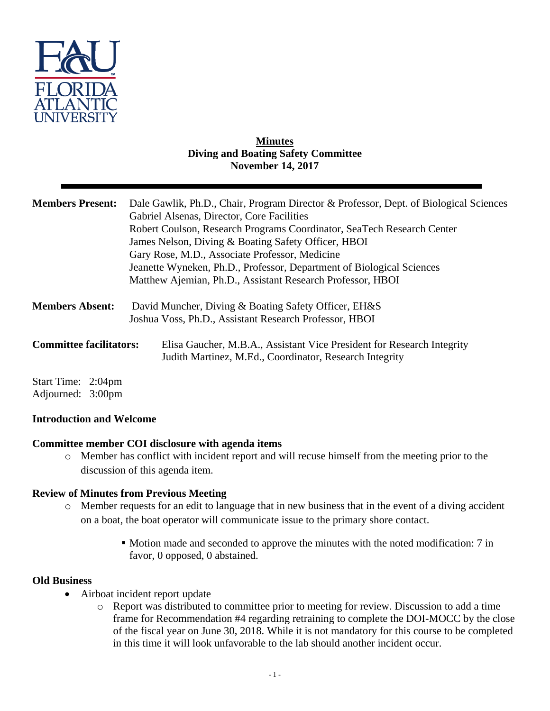

### **Minutes Diving and Boating Safety Committee November 14, 2017**

| <b>Members Present:</b>        | Dale Gawlik, Ph.D., Chair, Program Director & Professor, Dept. of Biological Sciences<br>Gabriel Alsenas, Director, Core Facilities<br>Robert Coulson, Research Programs Coordinator, SeaTech Research Center<br>James Nelson, Diving & Boating Safety Officer, HBOI<br>Gary Rose, M.D., Associate Professor, Medicine<br>Jeanette Wyneken, Ph.D., Professor, Department of Biological Sciences<br>Matthew Ajemian, Ph.D., Assistant Research Professor, HBOI |
|--------------------------------|---------------------------------------------------------------------------------------------------------------------------------------------------------------------------------------------------------------------------------------------------------------------------------------------------------------------------------------------------------------------------------------------------------------------------------------------------------------|
| <b>Members Absent:</b>         | David Muncher, Diving & Boating Safety Officer, EH&S<br>Joshua Voss, Ph.D., Assistant Research Professor, HBOI                                                                                                                                                                                                                                                                                                                                                |
| <b>Committee facilitators:</b> | Elisa Gaucher, M.B.A., Assistant Vice President for Research Integrity<br>Judith Martinez, M.Ed., Coordinator, Research Integrity                                                                                                                                                                                                                                                                                                                             |
| Start Time: 2:04pm             |                                                                                                                                                                                                                                                                                                                                                                                                                                                               |

Adjourned: 3:00pm

## **Introduction and Welcome**

## **Committee member COI disclosure with agenda items**

o Member has conflict with incident report and will recuse himself from the meeting prior to the discussion of this agenda item.

## **Review of Minutes from Previous Meeting**

- o Member requests for an edit to language that in new business that in the event of a diving accident on a boat, the boat operator will communicate issue to the primary shore contact.
	- Motion made and seconded to approve the minutes with the noted modification: 7 in favor, 0 opposed, 0 abstained.

#### **Old Business**

- Airboat incident report update
	- o Report was distributed to committee prior to meeting for review. Discussion to add a time frame for Recommendation #4 regarding retraining to complete the DOI-MOCC by the close of the fiscal year on June 30, 2018. While it is not mandatory for this course to be completed in this time it will look unfavorable to the lab should another incident occur.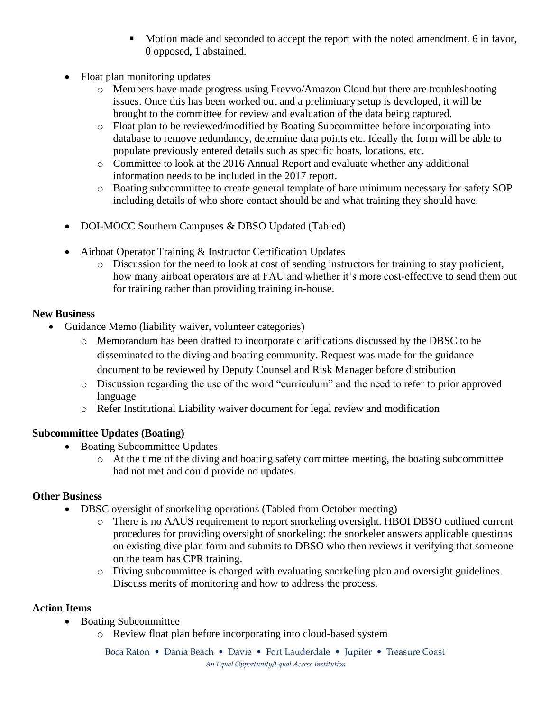- Motion made and seconded to accept the report with the noted amendment. 6 in favor, 0 opposed, 1 abstained.
- Float plan monitoring updates
	- o Members have made progress using Frevvo/Amazon Cloud but there are troubleshooting issues. Once this has been worked out and a preliminary setup is developed, it will be brought to the committee for review and evaluation of the data being captured.
	- o Float plan to be reviewed/modified by Boating Subcommittee before incorporating into database to remove redundancy, determine data points etc. Ideally the form will be able to populate previously entered details such as specific boats, locations, etc.
	- o Committee to look at the 2016 Annual Report and evaluate whether any additional information needs to be included in the 2017 report.
	- o Boating subcommittee to create general template of bare minimum necessary for safety SOP including details of who shore contact should be and what training they should have.
- DOI-MOCC Southern Campuses & DBSO Updated (Tabled)
- Airboat Operator Training & Instructor Certification Updates
	- o Discussion for the need to look at cost of sending instructors for training to stay proficient, how many airboat operators are at FAU and whether it's more cost-effective to send them out for training rather than providing training in-house.

## **New Business**

- Guidance Memo (liability waiver, volunteer categories)
	- o Memorandum has been drafted to incorporate clarifications discussed by the DBSC to be disseminated to the diving and boating community. Request was made for the guidance document to be reviewed by Deputy Counsel and Risk Manager before distribution
	- o Discussion regarding the use of the word "curriculum" and the need to refer to prior approved language
	- o Refer Institutional Liability waiver document for legal review and modification

# **Subcommittee Updates (Boating)**

- Boating Subcommittee Updates
	- o At the time of the diving and boating safety committee meeting, the boating subcommittee had not met and could provide no updates.

# **Other Business**

- DBSC oversight of snorkeling operations (Tabled from October meeting)
	- o There is no AAUS requirement to report snorkeling oversight. HBOI DBSO outlined current procedures for providing oversight of snorkeling: the snorkeler answers applicable questions on existing dive plan form and submits to DBSO who then reviews it verifying that someone on the team has CPR training.
	- o Diving subcommittee is charged with evaluating snorkeling plan and oversight guidelines. Discuss merits of monitoring and how to address the process.

## **Action Items**

- Boating Subcommittee
	- o Review float plan before incorporating into cloud-based system